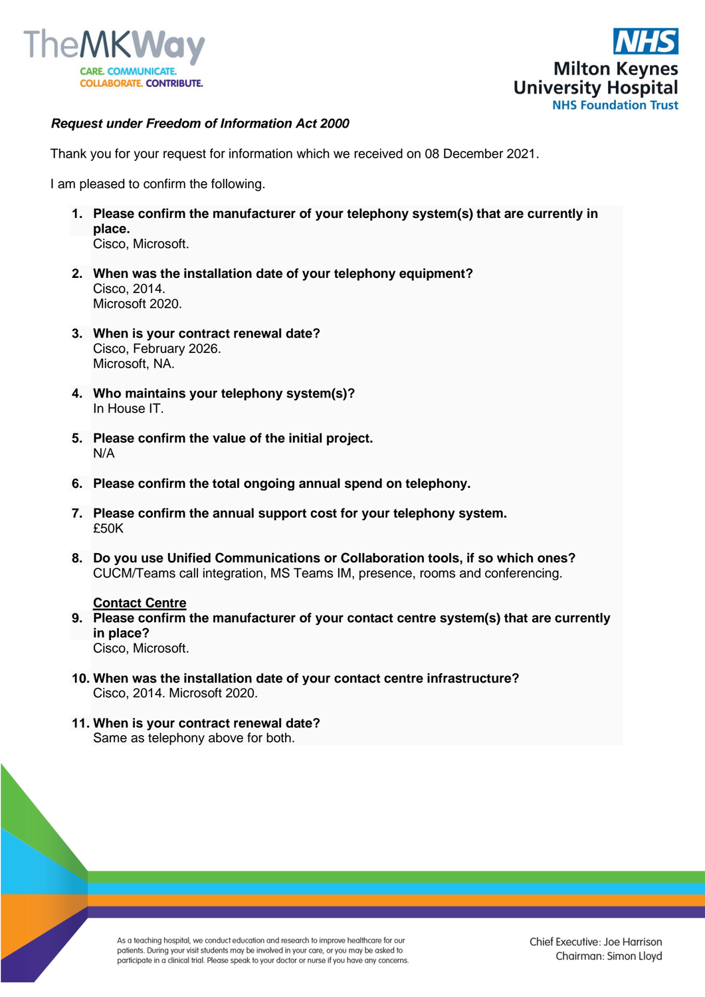



## *Request under Freedom of Information Act 2000*

Thank you for your request for information which we received on 08 December 2021.

I am pleased to confirm the following.

- **1. Please confirm the manufacturer of your telephony system(s) that are currently in place.** Cisco, Microsoft.
- **2. When was the installation date of your telephony equipment?** Cisco, 2014. Microsoft 2020.
- **3. When is your contract renewal date?** Cisco, February 2026. Microsoft, NA.
- **4. Who maintains your telephony system(s)?** In House IT.
- **5. Please confirm the value of the initial project.** N/A
- **6. Please confirm the total ongoing annual spend on telephony.**
- **7. Please confirm the annual support cost for your telephony system.** £50K
- **8. Do you use Unified Communications or Collaboration tools, if so which ones?** CUCM/Teams call integration, MS Teams IM, presence, rooms and conferencing.

## **Contact Centre**

- **9. Please confirm the manufacturer of your contact centre system(s) that are currently in place?** Cisco, Microsoft.
- **10. When was the installation date of your contact centre infrastructure?** Cisco, 2014. Microsoft 2020.
- **11. When is your contract renewal date?** Same as telephony above for both.

As a teaching hospital, we conduct education and research to improve healthcare for our patients. During your visit students may be involved in your care, or you may be asked to participate in a clinical trial. Please speak to your doctor or nurse if you have any concerns.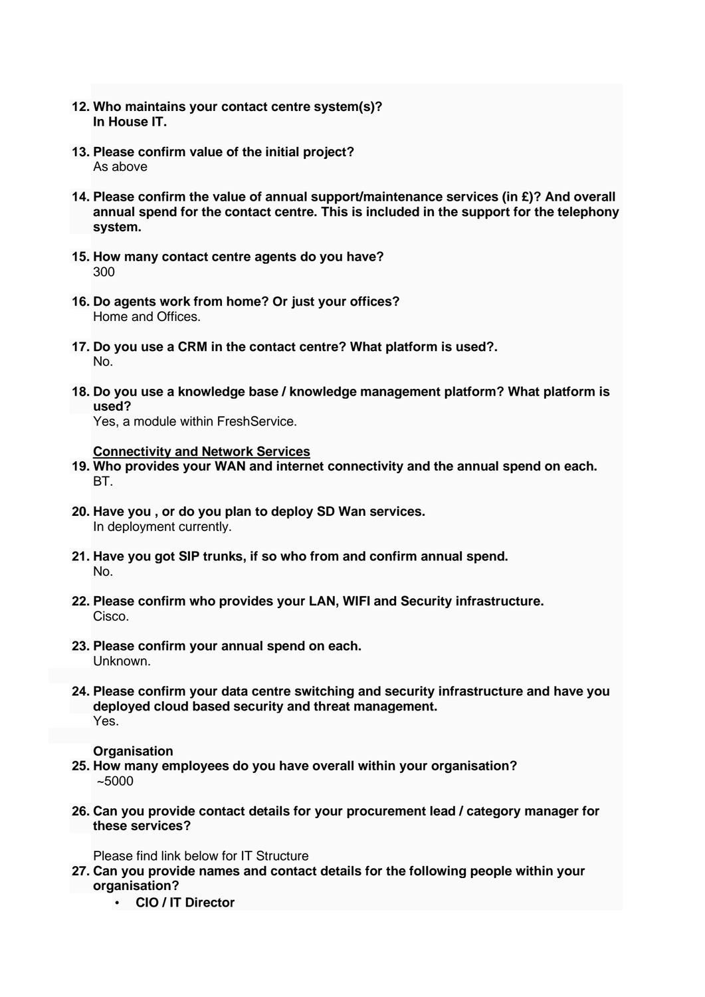- **12. Who maintains your contact centre system(s)? In House IT.**
- **13. Please confirm value of the initial project?** As above
- **14. Please confirm the value of annual support/maintenance services (in £)? And overall annual spend for the contact centre. This is included in the support for the telephony system.**
- **15. How many contact centre agents do you have?** 300
- **16. Do agents work from home? Or just your offices?** Home and Offices.
- **17. Do you use a CRM in the contact centre? What platform is used?.** No.
- **18. Do you use a knowledge base / knowledge management platform? What platform is used?**

Yes, a module within FreshService.

**Connectivity and Network Services**

- **19. Who provides your WAN and internet connectivity and the annual spend on each.** BT.
- **20. Have you , or do you plan to deploy SD Wan services.** In deployment currently.
- **21. Have you got SIP trunks, if so who from and confirm annual spend.** No.
- **22. Please confirm who provides your LAN, WIFI and Security infrastructure.** Cisco.
- **23. Please confirm your annual spend on each.** Unknown.
- **24. Please confirm your data centre switching and security infrastructure and have you deployed cloud based security and threat management.** Yes.

## **Organisation**

- **25. How many employees do you have overall within your organisation?** ~5000
- **26. Can you provide contact details for your procurement lead / category manager for these services?**

Please find link below for IT Structure

- **27. Can you provide names and contact details for the following people within your organisation?**
	- **CIO / IT Director**